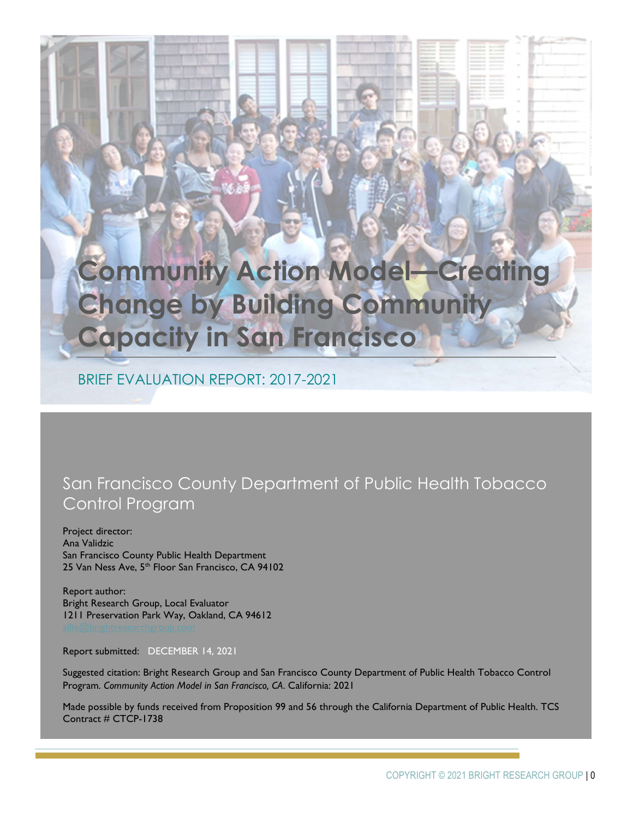# Community Action Model—Creating Change by Building Community Capacity in San Francisco

BRIEF EVALUATION REPORT: 2017-2021

# San Francisco County Department of Public Health Tobacco Control Program

Project director: Ana Validzic San Francisco County Public Health Department 25 Van Ness Ave, 5<sup>th</sup> Floor San Francisco, CA 94102

Report author: Bright Research Group, Local Evaluator 1211 Preservation Park Way, Oakland, CA 94612

Report submitted: DECEMBER 14, 2021

Suggested citation: Bright Research Group and San Francisco County Department of Public Health Tobacco Control Program. Community Action Model in San Francisco, CA. California: 2021

Made possible by funds received from Proposition 99 and 56 through the California Department of Public Health. TCS Contract # CTCP-1738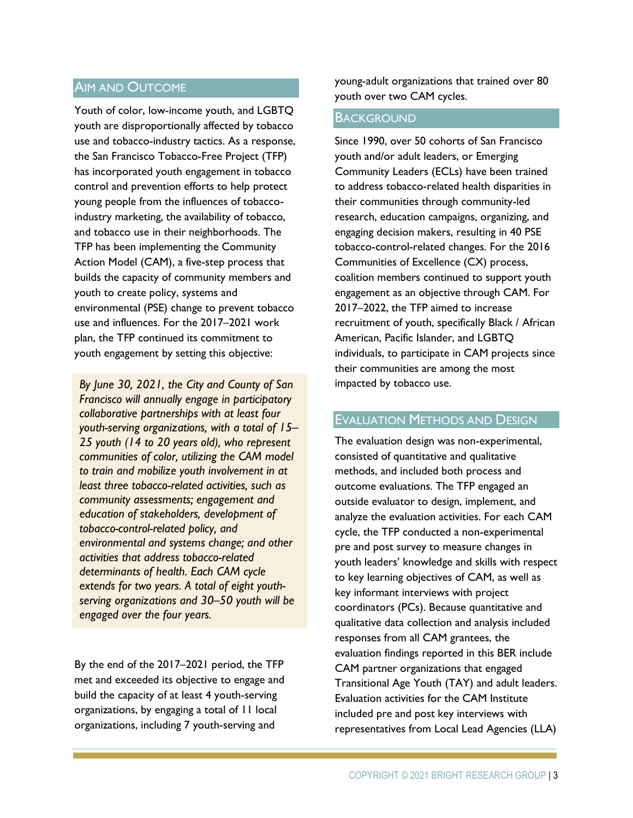#### AIM AND OUTCOME

Youth of color, low-income youth, and LGBTQ youth are disproportionally affected by tobacco use and tobacco-industry tactics. As a response, the San Francisco Tobacco-Free Project (TFP) has incorporated youth engagement in tobacco control and prevention efforts to help protect young people from the influences of tobaccoindustry marketing, the availability of tobacco, and tobacco use in their neighborhoods. The TFP has been implementing the Community Action Model (CAM), a five-step process that builds the capacity of community members and youth to create policy, systems and environmental (PSE) change to prevent tobacco use and influences. For the 2017–2021 work plan, the TFP continued its commitment to youth engagement by setting this objective:

By June 30, 2021, the City and County of San Francisco will annually engage in participatory collaborative partnerships with at least four youth-serving organizations, with a total of 15– 25 youth (14 to 20 years old), who represent communities of color, utilizing the CAM model to train and mobilize youth involvement in at least three tobacco-related activities, such as community assessments; engagement and education of stakeholders, development of tobacco-control-related policy, and environmental and systems change; and other activities that address tobacco-related determinants of health. Each CAM cycle extends for two years. A total of eight youthserving organizations and 30–50 youth will be engaged over the four years.

By the end of the 2017–2021 period, the TFP met and exceeded its objective to engage and build the capacity of at least 4 youth-serving organizations, by engaging a total of 11 local organizations, including 7 youth-serving and

young-adult organizations that trained over 80 youth over two CAM cycles.

#### **BACKGROUND**

Since 1990, over 50 cohorts of San Francisco youth and/or adult leaders, or Emerging Community Leaders (ECLs) have been trained to address tobacco-related health disparities in their communities through community-led research, education campaigns, organizing, and engaging decision makers, resulting in 40 PSE tobacco-control-related changes. For the 2016 Communities of Excellence (CX) process, coalition members continued to support youth engagement as an objective through CAM. For 2017–2022, the TFP aimed to increase recruitment of youth, specifically Black / African American, Pacific Islander, and LGBTQ individuals, to participate in CAM projects since their communities are among the most impacted by tobacco use.

#### EVALUATION METHODS AND DESIGN

The evaluation design was non-experimental, consisted of quantitative and qualitative methods, and included both process and outcome evaluations. The TFP engaged an outside evaluator to design, implement, and analyze the evaluation activities. For each CAM cycle, the TFP conducted a non-experimental pre and post survey to measure changes in youth leaders' knowledge and skills with respect to key learning objectives of CAM, as well as key informant interviews with project coordinators (PCs). Because quantitative and qualitative data collection and analysis included responses from all CAM grantees, the evaluation findings reported in this BER include CAM partner organizations that engaged Transitional Age Youth (TAY) and adult leaders. Evaluation activities for the CAM Institute included pre and post key interviews with representatives from Local Lead Agencies (LLA)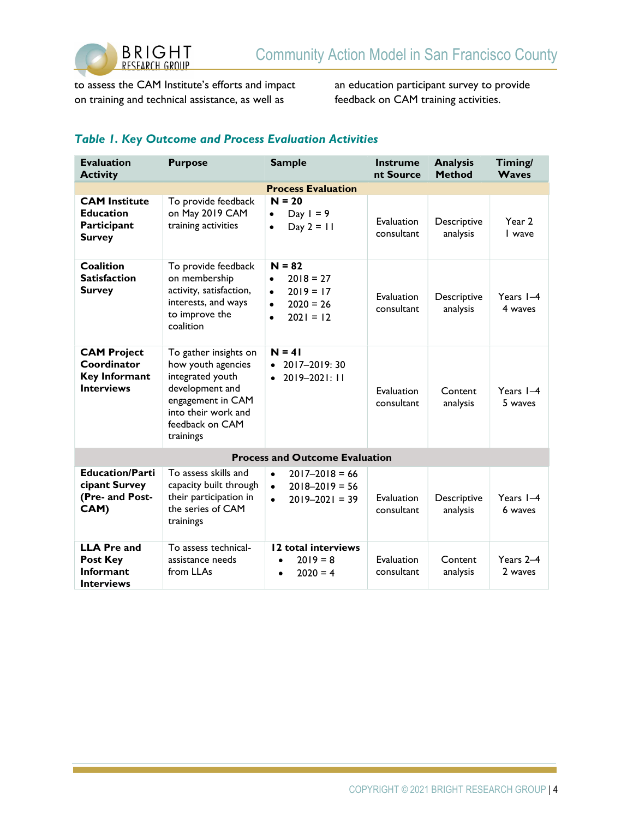

to assess the CAM Institute's efforts and impact on training and technical assistance, as well as

an education participant survey to provide feedback on CAM training activities.

### Table 1. Key Outcome and Process Evaluation Activities

| <b>Evaluation</b><br><b>Activity</b>                                           | <b>Purpose</b>                                                                                                                                                 | <b>Sample</b>                                                                                                            | <b>Instrume</b><br>nt Source | <b>Analysis</b><br><b>Method</b> | Timing/<br><b>Waves</b> |
|--------------------------------------------------------------------------------|----------------------------------------------------------------------------------------------------------------------------------------------------------------|--------------------------------------------------------------------------------------------------------------------------|------------------------------|----------------------------------|-------------------------|
| <b>Process Evaluation</b>                                                      |                                                                                                                                                                |                                                                                                                          |                              |                                  |                         |
| <b>CAM Institute</b><br><b>Education</b><br>Participant<br><b>Survey</b>       | To provide feedback<br>on May 2019 CAM<br>training activities                                                                                                  | $N = 20$<br>Day $I = 9$<br>$\bullet$<br>Day $2 = 11$<br>$\bullet$                                                        | Evaluation<br>consultant     | Descriptive<br>analysis          | Year 2<br>I wave        |
| <b>Coalition</b><br><b>Satisfaction</b><br><b>Survey</b>                       | To provide feedback<br>on membership<br>activity, satisfaction,<br>interests, and ways<br>to improve the<br>coalition                                          | $N = 82$<br>$2018 = 27$<br>$\bullet$<br>$2019 = 17$<br>$\bullet$<br>$2020 = 26$<br>$\bullet$<br>$2021 = 12$<br>$\bullet$ | Evaluation<br>consultant     | Descriptive<br>analysis          | Years 1-4<br>4 waves    |
| <b>CAM Project</b><br>Coordinator<br><b>Key Informant</b><br><b>Interviews</b> | To gather insights on<br>how youth agencies<br>integrated youth<br>development and<br>engagement in CAM<br>into their work and<br>feedback on CAM<br>trainings | $N = 41$<br>2017-2019: 30<br>2019-2021: 11<br>$\bullet$                                                                  | Evaluation<br>consultant     | Content<br>analysis              | Years $I-4$<br>5 waves  |
| <b>Process and Outcome Evaluation</b>                                          |                                                                                                                                                                |                                                                                                                          |                              |                                  |                         |
| <b>Education/Parti</b><br>cipant Survey<br>(Pre- and Post-<br>CAM)             | To assess skills and<br>capacity built through<br>their participation in<br>the series of CAM<br>trainings                                                     | $2017 - 2018 = 66$<br>$\bullet$<br>$2018 - 2019 = 56$<br>$\bullet$<br>$2019 - 2021 = 39$<br>$\bullet$                    | Evaluation<br>consultant     | Descriptive<br>analysis          | Years $I-4$<br>6 waves  |
| <b>LLA Pre and</b><br>Post Key<br><b>Informant</b><br><b>Interviews</b>        | To assess technical-<br>assistance needs<br>from LLAs                                                                                                          | 12 total interviews<br>$2019 = 8$<br>$\bullet$<br>$2020 = 4$<br>$\bullet$                                                | Evaluation<br>consultant     | Content<br>analysis              | Years 2-4<br>2 waves    |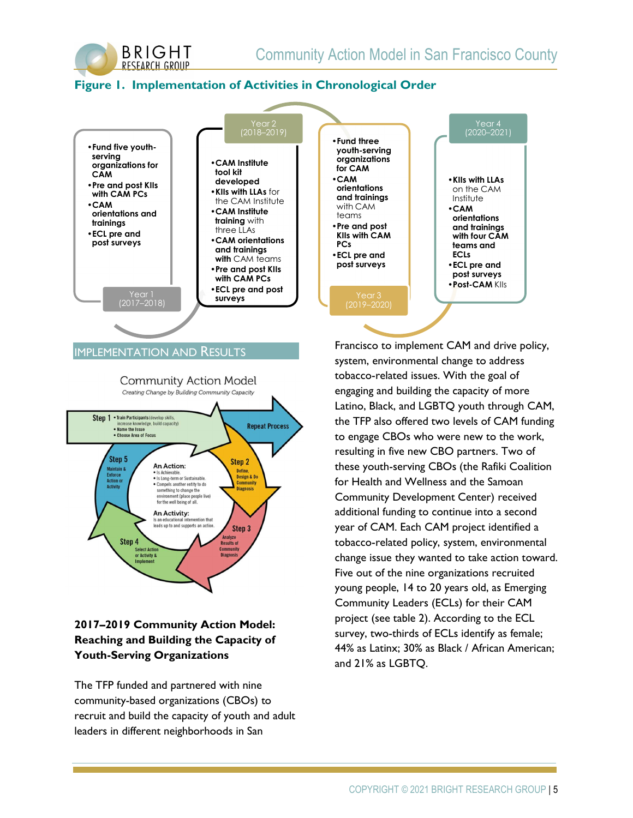

# Figure 1. Implementation of Activities in Chronological Order



#### IMPLEMENTATION AND RESULTS



# 2017–2019 Community Action Model: Reaching and Building the Capacity of Youth-Serving Organizations

The TFP funded and partnered with nine community-based organizations (CBOs) to recruit and build the capacity of youth and adult leaders in different neighborhoods in San

Francisco to implement CAM and drive policy, system, environmental change to address tobacco-related issues. With the goal of engaging and building the capacity of more Latino, Black, and LGBTQ youth through CAM, the TFP also offered two levels of CAM funding to engage CBOs who were new to the work, resulting in five new CBO partners. Two of these youth-serving CBOs (the Rafiki Coalition for Health and Wellness and the Samoan Community Development Center) received additional funding to continue into a second year of CAM. Each CAM project identified a tobacco-related policy, system, environmental change issue they wanted to take action toward. Five out of the nine organizations recruited young people, 14 to 20 years old, as Emerging Community Leaders (ECLs) for their CAM project (see table 2). According to the ECL survey, two-thirds of ECLs identify as female; 44% as Latinx; 30% as Black / African American; and 21% as LGBTQ.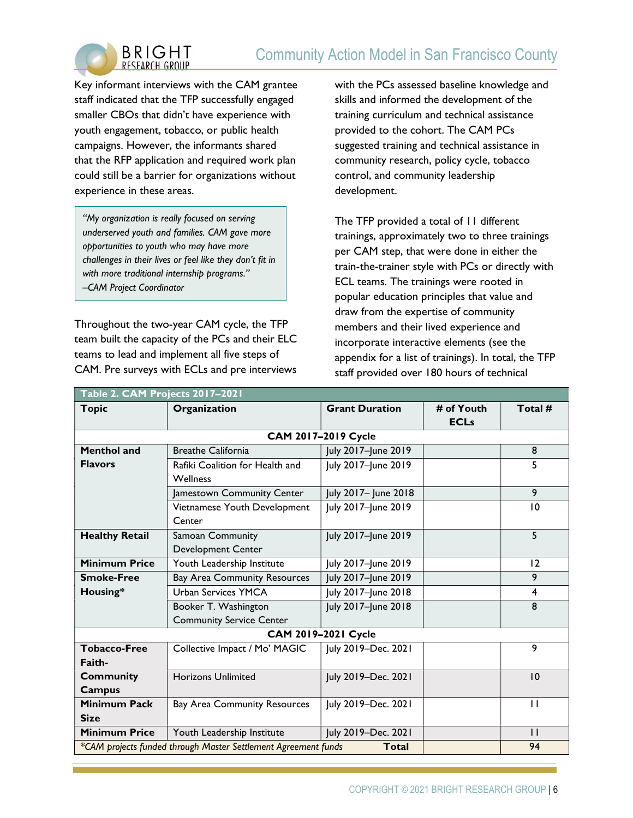# Community Action Model in San Francisco County



Key informant interviews with the CAM grantee staff indicated that the TFP successfully engaged smaller CBOs that didn't have experience with youth engagement, tobacco, or public health campaigns. However, the informants shared that the RFP application and required work plan could still be a barrier for organizations without experience in these areas.

"My organization is really focused on serving underserved youth and families. CAM gave more opportunities to youth who may have more challenges in their lives or feel like they don't fit in with more traditional internship programs." –CAM Project Coordinator

Throughout the two-year CAM cycle, the TFP team built the capacity of the PCs and their ELC teams to lead and implement all five steps of CAM. Pre surveys with ECLs and pre interviews

with the PCs assessed baseline knowledge and skills and informed the development of the training curriculum and technical assistance provided to the cohort. The CAM PCs suggested training and technical assistance in community research, policy cycle, tobacco control, and community leadership development.

The TFP provided a total of 11 different trainings, approximately two to three trainings per CAM step, that were done in either the train-the-trainer style with PCs or directly with ECL teams. The trainings were rooted in popular education principles that value and draw from the expertise of community members and their lived experience and incorporate interactive elements (see the appendix for a list of trainings). In total, the TFP staff provided over 180 hours of technical

| Table 2. CAM Projects 2017-2021                                                      |                                     |                       |             |                |
|--------------------------------------------------------------------------------------|-------------------------------------|-----------------------|-------------|----------------|
| <b>Topic</b>                                                                         | Organization                        | <b>Grant Duration</b> | # of Youth  | Total #        |
|                                                                                      |                                     |                       | <b>ECLs</b> |                |
|                                                                                      |                                     | CAM 2017-2019 Cycle   |             |                |
| <b>Menthol and</b>                                                                   | <b>Breathe California</b>           | July 2017-June 2019   |             | 8              |
| <b>Flavors</b>                                                                       | Rafiki Coalition for Health and     | July 2017-June 2019   |             | 5              |
|                                                                                      | <b>Wellness</b>                     |                       |             |                |
|                                                                                      | Jamestown Community Center          | July 2017- June 2018  |             | 9              |
|                                                                                      | Vietnamese Youth Development        | July 2017-June 2019   |             | 10             |
|                                                                                      | Center                              |                       |             |                |
| <b>Healthy Retail</b>                                                                | Samoan Community                    | July 2017-June 2019   |             | $\overline{5}$ |
|                                                                                      | Development Center                  |                       |             |                |
| <b>Minimum Price</b>                                                                 | Youth Leadership Institute          | July 2017-June 2019   |             | 12             |
| <b>Smoke-Free</b>                                                                    | <b>Bay Area Community Resources</b> | July 2017-June 2019   |             | 9              |
| Housing*                                                                             | <b>Urban Services YMCA</b>          | July 2017-June 2018   |             | 4              |
|                                                                                      | Booker T. Washington                | July 2017-June 2018   |             | 8              |
|                                                                                      | <b>Community Service Center</b>     |                       |             |                |
| CAM 2019-2021 Cycle                                                                  |                                     |                       |             |                |
| <b>Tobacco-Free</b>                                                                  | Collective Impact / Mo' MAGIC       | July 2019-Dec. 2021   |             | 9              |
| Faith-                                                                               |                                     |                       |             |                |
| <b>Community</b>                                                                     | <b>Horizons Unlimited</b>           | July 2019-Dec. 2021   |             | 10             |
| <b>Campus</b>                                                                        |                                     |                       |             |                |
| <b>Minimum Pack</b>                                                                  | <b>Bay Area Community Resources</b> | July 2019-Dec. 2021   |             | $\mathbf{I}$   |
| <b>Size</b>                                                                          |                                     |                       |             |                |
| <b>Minimum Price</b>                                                                 | Youth Leadership Institute          | July 2019-Dec. 2021   |             | $\mathsf{H}$   |
| 94<br>*CAM projects funded through Master Settlement Agreement funds<br><b>Total</b> |                                     |                       |             |                |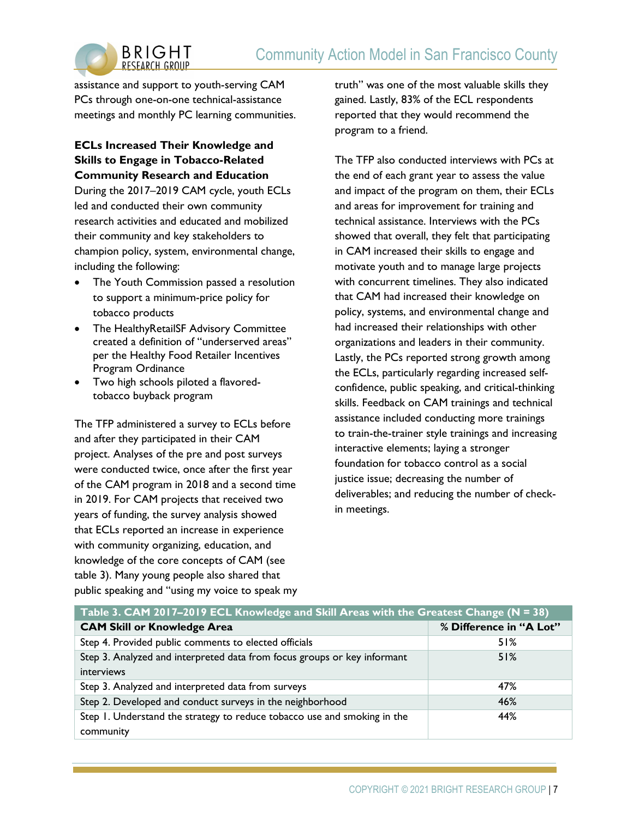

assistance and support to youth-serving CAM PCs through one-on-one technical-assistance meetings and monthly PC learning communities.

### ECLs Increased Their Knowledge and Skills to Engage in Tobacco-Related Community Research and Education

During the 2017–2019 CAM cycle, youth ECLs led and conducted their own community research activities and educated and mobilized their community and key stakeholders to champion policy, system, environmental change, including the following:

- The Youth Commission passed a resolution to support a minimum-price policy for tobacco products
- The HealthyRetailSF Advisory Committee created a definition of "underserved areas" per the Healthy Food Retailer Incentives Program Ordinance
- Two high schools piloted a flavoredtobacco buyback program

The TFP administered a survey to ECLs before and after they participated in their CAM project. Analyses of the pre and post surveys were conducted twice, once after the first year of the CAM program in 2018 and a second time in 2019. For CAM projects that received two years of funding, the survey analysis showed that ECLs reported an increase in experience with community organizing, education, and knowledge of the core concepts of CAM (see table 3). Many young people also shared that public speaking and "using my voice to speak my truth" was one of the most valuable skills they gained. Lastly, 83% of the ECL respondents reported that they would recommend the program to a friend.

The TFP also conducted interviews with PCs at the end of each grant year to assess the value and impact of the program on them, their ECLs and areas for improvement for training and technical assistance. Interviews with the PCs showed that overall, they felt that participating in CAM increased their skills to engage and motivate youth and to manage large projects with concurrent timelines. They also indicated that CAM had increased their knowledge on policy, systems, and environmental change and had increased their relationships with other organizations and leaders in their community. Lastly, the PCs reported strong growth among the ECLs, particularly regarding increased selfconfidence, public speaking, and critical-thinking skills. Feedback on CAM trainings and technical assistance included conducting more trainings to train-the-trainer style trainings and increasing interactive elements; laying a stronger foundation for tobacco control as a social justice issue; decreasing the number of deliverables; and reducing the number of checkin meetings.

| Table 3. CAM 2017-2019 ECL Knowledge and Skill Areas with the Greatest Change (N = 38) |                         |  |  |
|----------------------------------------------------------------------------------------|-------------------------|--|--|
| <b>CAM Skill or Knowledge Area</b>                                                     | % Difference in "A Lot" |  |  |
| Step 4. Provided public comments to elected officials                                  | 51%                     |  |  |
| Step 3. Analyzed and interpreted data from focus groups or key informant               | 51%                     |  |  |
| interviews                                                                             |                         |  |  |
| Step 3. Analyzed and interpreted data from surveys                                     | 47%                     |  |  |
| Step 2. Developed and conduct surveys in the neighborhood                              | 46%                     |  |  |
| Step 1. Understand the strategy to reduce tobacco use and smoking in the               | 44%                     |  |  |
| community                                                                              |                         |  |  |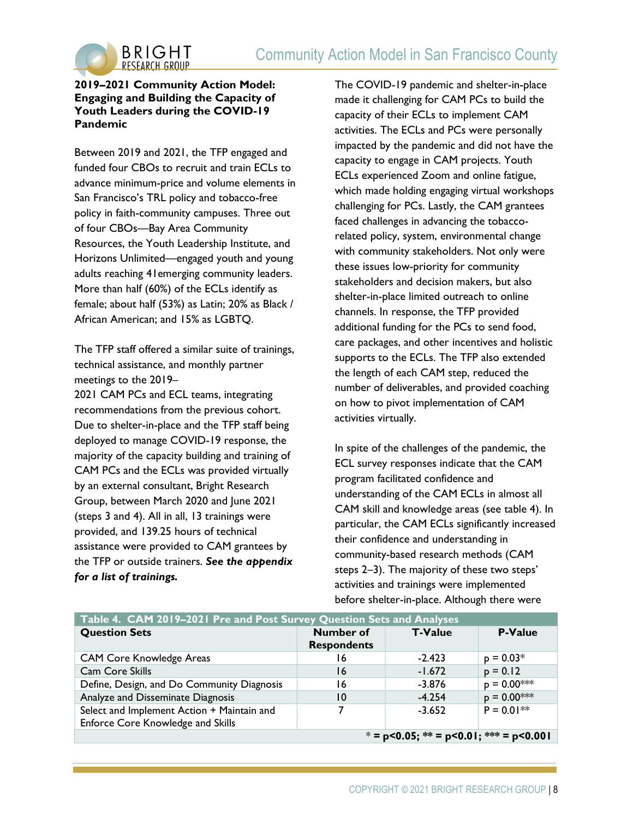

#### 2019–2021 Community Action Model: Engaging and Building the Capacity of Youth Leaders during the COVID-19 Pandemic

Between 2019 and 2021, the TFP engaged and funded four CBOs to recruit and train ECLs to advance minimum-price and volume elements in San Francisco's TRL policy and tobacco-free policy in faith-community campuses. Three out of four CBOs—Bay Area Community Resources, the Youth Leadership Institute, and Horizons Unlimited—engaged youth and young adults reaching 41emerging community leaders. More than half (60%) of the ECLs identify as female; about half (53%) as Latin; 20% as Black / African American; and 15% as LGBTQ.

The TFP staff offered a similar suite of trainings, technical assistance, and monthly partner meetings to the 2019–

2021 CAM PCs and ECL teams, integrating recommendations from the previous cohort. Due to shelter-in-place and the TFP staff being deployed to manage COVID-19 response, the majority of the capacity building and training of CAM PCs and the ECLs was provided virtually by an external consultant, Bright Research Group, between March 2020 and June 2021 (steps 3 and 4). All in all, 13 trainings were provided, and 139.25 hours of technical assistance were provided to CAM grantees by the TFP or outside trainers. See the appendix for a list of trainings.

The COVID-19 pandemic and shelter-in-place made it challenging for CAM PCs to build the capacity of their ECLs to implement CAM activities. The ECLs and PCs were personally impacted by the pandemic and did not have the capacity to engage in CAM projects. Youth ECLs experienced Zoom and online fatigue, which made holding engaging virtual workshops challenging for PCs. Lastly, the CAM grantees faced challenges in advancing the tobaccorelated policy, system, environmental change with community stakeholders. Not only were these issues low-priority for community stakeholders and decision makers, but also shelter-in-place limited outreach to online channels. In response, the TFP provided additional funding for the PCs to send food, care packages, and other incentives and holistic supports to the ECLs. The TFP also extended the length of each CAM step, reduced the number of deliverables, and provided coaching on how to pivot implementation of CAM activities virtually.

In spite of the challenges of the pandemic, the ECL survey responses indicate that the CAM program facilitated confidence and understanding of the CAM ECLs in almost all CAM skill and knowledge areas (see table 4). In particular, the CAM ECLs significantly increased their confidence and understanding in community-based research methods (CAM steps 2–3). The majority of these two steps' activities and trainings were implemented before shelter-in-place. Although there were

| Table 4. CAM 2019-2021 Pre and Post Survey Question Sets and Analyses           |                                        |                |                |
|---------------------------------------------------------------------------------|----------------------------------------|----------------|----------------|
| <b>Question Sets</b>                                                            | <b>Number of</b><br><b>Respondents</b> | <b>T-Value</b> | <b>P-Value</b> |
| <b>CAM Core Knowledge Areas</b>                                                 | 16                                     | $-2.423$       | $p = 0.03*$    |
| Cam Core Skills                                                                 | 16                                     | $-1.672$       | $p = 0.12$     |
| Define, Design, and Do Community Diagnosis                                      | 16                                     | $-3.876$       | $p = 0.00$ *** |
| Analyze and Disseminate Diagnosis                                               | 10                                     | $-4.254$       | $p = 0.00$ *** |
| Select and Implement Action + Maintain and<br>Enforce Core Knowledge and Skills |                                        | $-3.652$       | $P = 0.01**$   |
| $* = p<0.05$ ; ** = p<0.01; *** = p<0.001                                       |                                        |                |                |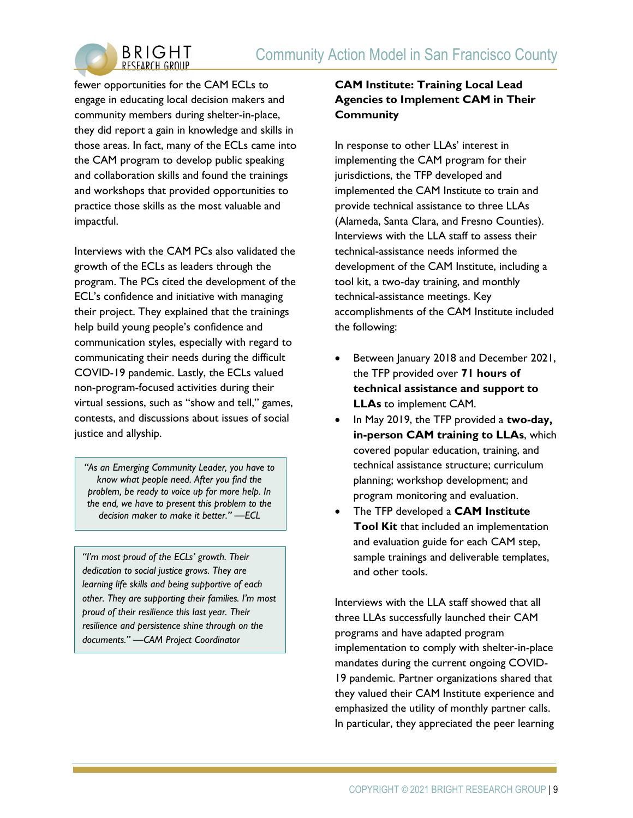

fewer opportunities for the CAM ECLs to engage in educating local decision makers and community members during shelter-in-place, they did report a gain in knowledge and skills in those areas. In fact, many of the ECLs came into the CAM program to develop public speaking and collaboration skills and found the trainings and workshops that provided opportunities to practice those skills as the most valuable and impactful.

Interviews with the CAM PCs also validated the growth of the ECLs as leaders through the program. The PCs cited the development of the ECL's confidence and initiative with managing their project. They explained that the trainings help build young people's confidence and communication styles, especially with regard to communicating their needs during the difficult COVID-19 pandemic. Lastly, the ECLs valued non-program-focused activities during their virtual sessions, such as "show and tell," games, contests, and discussions about issues of social justice and allyship.

"As an Emerging Community Leader, you have to know what people need. After you find the problem, be ready to voice up for more help. In the end, we have to present this problem to the decision maker to make it better." —ECL

"I'm most proud of the ECLs' growth. Their dedication to social justice grows. They are learning life skills and being supportive of each other. They are supporting their families. I'm most proud of their resilience this last year. Their resilience and persistence shine through on the documents." —CAM Project Coordinator

# CAM Institute: Training Local Lead Agencies to Implement CAM in Their **Community**

In response to other LLAs' interest in implementing the CAM program for their jurisdictions, the TFP developed and implemented the CAM Institute to train and provide technical assistance to three LLAs (Alameda, Santa Clara, and Fresno Counties). Interviews with the LLA staff to assess their technical-assistance needs informed the development of the CAM Institute, including a tool kit, a two-day training, and monthly technical-assistance meetings. Key accomplishments of the CAM Institute included the following:

- Between January 2018 and December 2021, the TFP provided over 71 hours of technical assistance and support to LLAs to implement CAM.
- In May 2019, the TFP provided a two-day, in-person CAM training to LLAs, which covered popular education, training, and technical assistance structure; curriculum planning; workshop development; and program monitoring and evaluation.
- The TFP developed a **CAM Institute Tool Kit** that included an implementation and evaluation guide for each CAM step, sample trainings and deliverable templates, and other tools.

Interviews with the LLA staff showed that all three LLAs successfully launched their CAM programs and have adapted program implementation to comply with shelter-in-place mandates during the current ongoing COVID-19 pandemic. Partner organizations shared that they valued their CAM Institute experience and emphasized the utility of monthly partner calls. In particular, they appreciated the peer learning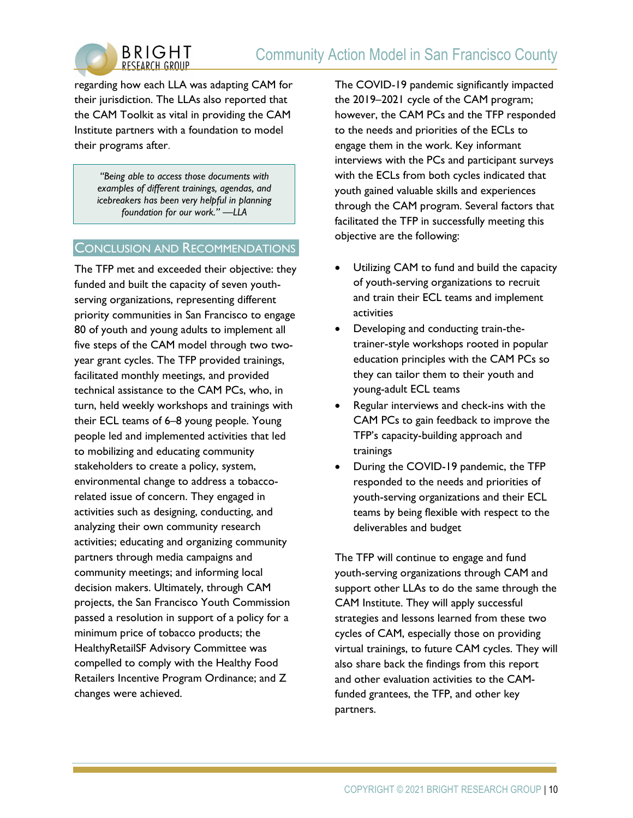



regarding how each LLA was adapting CAM for their jurisdiction. The LLAs also reported that the CAM Toolkit as vital in providing the CAM Institute partners with a foundation to model their programs after.

> "Being able to access those documents with examples of different trainings, agendas, and icebreakers has been very helpful in planning foundation for our work." —LLA

#### CONCLUSION AND RECOMMENDATIONS

The TFP met and exceeded their objective: they funded and built the capacity of seven youthserving organizations, representing different priority communities in San Francisco to engage 80 of youth and young adults to implement all five steps of the CAM model through two twoyear grant cycles. The TFP provided trainings, facilitated monthly meetings, and provided technical assistance to the CAM PCs, who, in turn, held weekly workshops and trainings with their ECL teams of 6–8 young people. Young people led and implemented activities that led to mobilizing and educating community stakeholders to create a policy, system, environmental change to address a tobaccorelated issue of concern. They engaged in activities such as designing, conducting, and analyzing their own community research activities; educating and organizing community partners through media campaigns and community meetings; and informing local decision makers. Ultimately, through CAM projects, the San Francisco Youth Commission passed a resolution in support of a policy for a minimum price of tobacco products; the HealthyRetailSF Advisory Committee was compelled to comply with the Healthy Food Retailers Incentive Program Ordinance; and Z changes were achieved.

The COVID-19 pandemic significantly impacted the 2019–2021 cycle of the CAM program; however, the CAM PCs and the TFP responded to the needs and priorities of the ECLs to engage them in the work. Key informant interviews with the PCs and participant surveys with the ECLs from both cycles indicated that youth gained valuable skills and experiences through the CAM program. Several factors that facilitated the TFP in successfully meeting this objective are the following:

- Utilizing CAM to fund and build the capacity of youth-serving organizations to recruit and train their ECL teams and implement activities
- Developing and conducting train-thetrainer-style workshops rooted in popular education principles with the CAM PCs so they can tailor them to their youth and young-adult ECL teams
- Regular interviews and check-ins with the CAM PCs to gain feedback to improve the TFP's capacity-building approach and trainings
- During the COVID-19 pandemic, the TFP responded to the needs and priorities of youth-serving organizations and their ECL teams by being flexible with respect to the deliverables and budget

The TFP will continue to engage and fund youth-serving organizations through CAM and support other LLAs to do the same through the CAM Institute. They will apply successful strategies and lessons learned from these two cycles of CAM, especially those on providing virtual trainings, to future CAM cycles. They will also share back the findings from this report and other evaluation activities to the CAMfunded grantees, the TFP, and other key partners.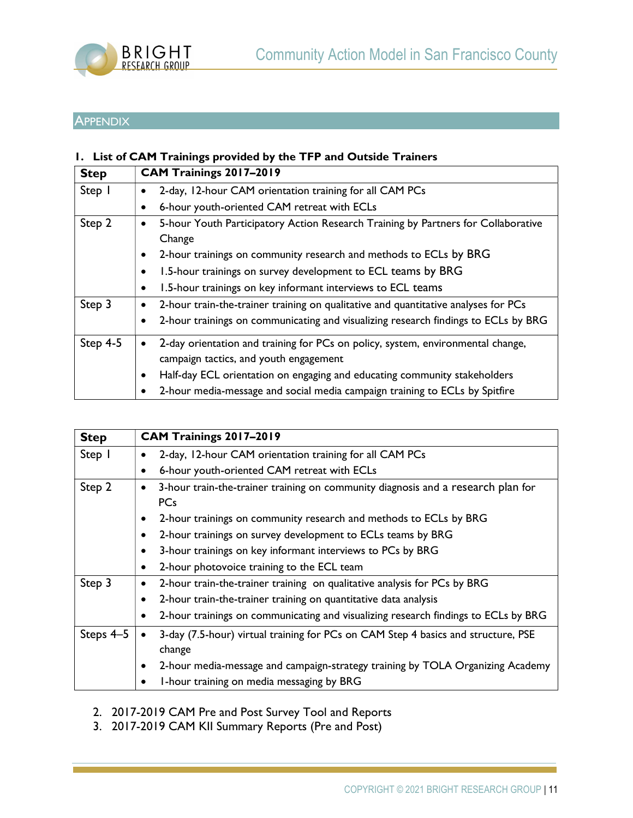

# **APPENDIX**

# 1. List of CAM Trainings provided by the TFP and Outside Trainers

| <b>Step</b> | CAM Trainings 2017-2019 |                                                                                    |  |
|-------------|-------------------------|------------------------------------------------------------------------------------|--|
| Step 1      |                         | 2-day, 12-hour CAM orientation training for all CAM PCs                            |  |
|             |                         | 6-hour youth-oriented CAM retreat with ECLs                                        |  |
| Step 2      |                         | 5-hour Youth Participatory Action Research Training by Partners for Collaborative  |  |
|             |                         | Change                                                                             |  |
|             |                         | 2-hour trainings on community research and methods to ECLs by BRG                  |  |
|             |                         | 1.5-hour trainings on survey development to ECL teams by BRG                       |  |
|             |                         | 1.5-hour trainings on key informant interviews to ECL teams                        |  |
| Step 3      |                         | 2-hour train-the-trainer training on qualitative and quantitative analyses for PCs |  |
|             |                         | 2-hour trainings on communicating and visualizing research findings to ECLs by BRG |  |
| Step $4-5$  |                         | 2-day orientation and training for PCs on policy, system, environmental change,    |  |
|             |                         | campaign tactics, and youth engagement                                             |  |
|             |                         | Half-day ECL orientation on engaging and educating community stakeholders          |  |
|             |                         | 2-hour media-message and social media campaign training to ECLs by Spitfire        |  |

| <b>Step</b> | CAM Trainings 2017-2019                                                            |
|-------------|------------------------------------------------------------------------------------|
| Step I      | 2-day, 12-hour CAM orientation training for all CAM PCs                            |
|             | 6-hour youth-oriented CAM retreat with ECLs                                        |
| Step 2      | 3-hour train-the-trainer training on community diagnosis and a research plan for   |
|             | <b>PCs</b>                                                                         |
|             | 2-hour trainings on community research and methods to ECLs by BRG                  |
|             | 2-hour trainings on survey development to ECLs teams by BRG                        |
|             | 3-hour trainings on key informant interviews to PCs by BRG                         |
|             | 2-hour photovoice training to the ECL team                                         |
| Step 3      | 2-hour train-the-trainer training on qualitative analysis for PCs by BRG           |
|             | 2-hour train-the-trainer training on quantitative data analysis                    |
|             | 2-hour trainings on communicating and visualizing research findings to ECLs by BRG |
| Steps 4-5   | 3-day (7.5-hour) virtual training for PCs on CAM Step 4 basics and structure, PSE  |
|             | change                                                                             |
|             | 2-hour media-message and campaign-strategy training by TOLA Organizing Academy     |
|             | I-hour training on media messaging by BRG                                          |

2. 2017-2019 CAM Pre and Post Survey Tool and Reports

3. 2017-2019 CAM KII Summary Reports (Pre and Post)